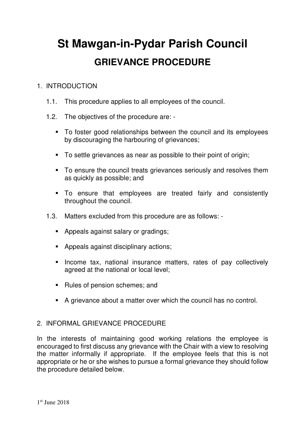# **St Mawgan-in-Pydar Parish Council GRIEVANCE PROCEDURE**

## 1. INTRODUCTION

- 1.1. This procedure applies to all employees of the council.
- 1.2. The objectives of the procedure are:
	- To foster good relationships between the council and its employees by discouraging the harbouring of grievances;
	- To settle grievances as near as possible to their point of origin;
	- To ensure the council treats grievances seriously and resolves them as quickly as possible; and
	- To ensure that employees are treated fairly and consistently throughout the council.
- 1.3. Matters excluded from this procedure are as follows:
	- Appeals against salary or gradings;
	- **Appeals against disciplinary actions;**
	- **Income tax, national insurance matters, rates of pay collectively** agreed at the national or local level;
	- Rules of pension schemes; and
	- A grievance about a matter over which the council has no control.

### 2. INFORMAL GRIEVANCE PROCEDURE

In the interests of maintaining good working relations the employee is encouraged to first discuss any grievance with the Chair with a view to resolving the matter informally if appropriate. If the employee feels that this is not appropriate or he or she wishes to pursue a formal grievance they should follow the procedure detailed below.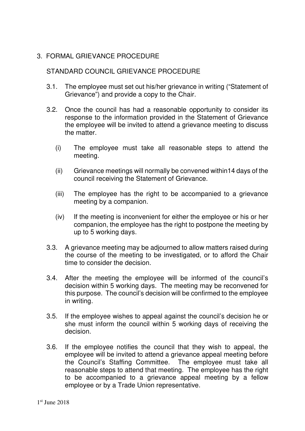### 3. FORMAL GRIEVANCE PROCEDURE

### STANDARD COUNCIL GRIEVANCE PROCEDURE

- 3.1. The employee must set out his/her grievance in writing ("Statement of Grievance") and provide a copy to the Chair.
- 3.2. Once the council has had a reasonable opportunity to consider its response to the information provided in the Statement of Grievance the employee will be invited to attend a grievance meeting to discuss the matter.
	- (i) The employee must take all reasonable steps to attend the meeting.
	- (ii) Grievance meetings will normally be convened within14 days of the council receiving the Statement of Grievance.
	- (iii) The employee has the right to be accompanied to a grievance meeting by a companion.
	- (iv) If the meeting is inconvenient for either the employee or his or her companion, the employee has the right to postpone the meeting by up to 5 working days.
- 3.3. A grievance meeting may be adjourned to allow matters raised during the course of the meeting to be investigated, or to afford the Chair time to consider the decision.
- 3.4. After the meeting the employee will be informed of the council's decision within 5 working days. The meeting may be reconvened for this purpose. The council's decision will be confirmed to the employee in writing.
- 3.5. If the employee wishes to appeal against the council's decision he or she must inform the council within 5 working days of receiving the decision.
- 3.6. If the employee notifies the council that they wish to appeal, the employee will be invited to attend a grievance appeal meeting before the Council's Staffing Committee. The employee must take all reasonable steps to attend that meeting. The employee has the right to be accompanied to a grievance appeal meeting by a fellow employee or by a Trade Union representative.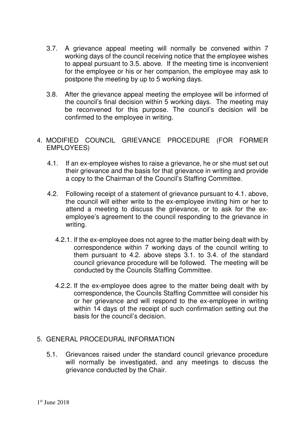- 3.7. A grievance appeal meeting will normally be convened within 7 working days of the council receiving notice that the employee wishes to appeal pursuant to 3.5. above. If the meeting time is inconvenient for the employee or his or her companion, the employee may ask to postpone the meeting by up to 5 working days.
- 3.8. After the grievance appeal meeting the employee will be informed of the council's final decision within 5 working days. The meeting may be reconvened for this purpose. The council's decision will be confirmed to the employee in writing.

#### 4. MODIFIED COUNCIL GRIEVANCE PROCEDURE (FOR FORMER EMPLOYEES)

- 4.1. If an ex-employee wishes to raise a grievance, he or she must set out their grievance and the basis for that grievance in writing and provide a copy to the Chairman of the Council's Staffing Committee.
- 4.2. Following receipt of a statement of grievance pursuant to 4.1. above, the council will either write to the ex-employee inviting him or her to attend a meeting to discuss the grievance, or to ask for the exemployee's agreement to the council responding to the grievance in writing.
	- 4.2.1. If the ex-employee does not agree to the matter being dealt with by correspondence within 7 working days of the council writing to them pursuant to 4.2. above steps 3.1. to 3.4. of the standard council grievance procedure will be followed. The meeting will be conducted by the Councils Staffing Committee.
	- 4.2.2. If the ex-employee does agree to the matter being dealt with by correspondence, the Councils Staffing Committee will consider his or her grievance and will respond to the ex-employee in writing within 14 days of the receipt of such confirmation setting out the basis for the council's decision.

### 5. GENERAL PROCEDURAL INFORMATION

5.1. Grievances raised under the standard council grievance procedure will normally be investigated, and any meetings to discuss the grievance conducted by the Chair.